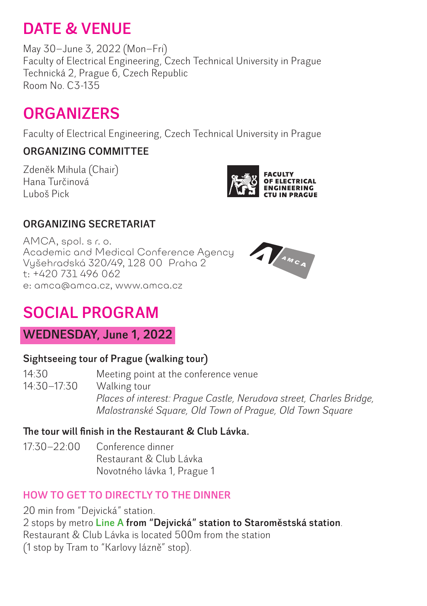# **DATE & VENUE**

May 30–June 3, 2022 (Mon–Fri) Faculty of Electrical Engineering, Czech Technical University in Prague Technická 2, Prague 6, Czech Republic Room No. C3-135

## **ORGANIZERS**

Faculty of Electrical Engineering, Czech Technical University in Prague

### **ORGANIZING COMMITTEE**

Zdeněk Mihula (Chair) Hana Turčinová Luboš Pick



### **ORGANIZING SECRETARIAT**

AMCA, spol. s r. o. Academic and Medical Conference Agency Vyšehradská 320/49, 128 00 Praha 2 t: +420 731 496 062 e: amca@amca.cz, www.amca.cz



## **SOCIAL PROGRAM**

**WEDNESDAY, June 1, 2022**

### **Sightseeing tour of Prague (walking tour)**

14:30 Meeting point at the conference venue 14:30–17:30 Walking tour  *Places of interest: Prague Castle, Nerudova street, Charles Bridge, Malostranské Square, Old Town of Prague, Old Town Square*

#### **The tour will finish in the Restaurant & Club Lávka.**

17:30–22:00 Conference dinner Restaurant & Club Lávka Novotného lávka 1, Prague 1

#### **HOW TO GET TO DIRECTLY TO THE DINNER**

20 min from "Dejvická" station.

2 stops by metro **Line A from "Dejvická" station to Staroměstská station**. Restaurant & Club Lávka is located 500m from the station (1 stop by Tram to "Karlovy lázně" stop).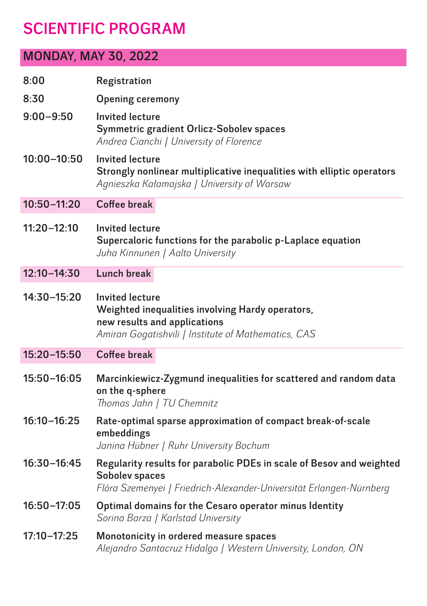## **SCIENTIFIC PROGRAM**

## **MONDAY, MAY 30, 2022**

| 8:00            | Registration                                                                                                                                                      |
|-----------------|-------------------------------------------------------------------------------------------------------------------------------------------------------------------|
| 8:30            | <b>Opening ceremony</b>                                                                                                                                           |
| $9:00 - 9:50$   | <b>Invited lecture</b><br>Symmetric gradient Orlicz-Sobolev spaces<br>Andrea Cianchi   University of Florence                                                     |
| 10:00-10:50     | <b>Invited lecture</b><br>Strongly nonlinear multiplicative inequalities with elliptic operators<br>Agnieszka Kałamajska   University of Warsaw                   |
| $10:50 - 11:20$ | <b>Coffee break</b>                                                                                                                                               |
| $11:20 - 12:10$ | <b>Invited lecture</b><br>Supercaloric functions for the parabolic p-Laplace equation<br>Juha Kinnunen   Aalto University                                         |
| 12:10-14:30     | <b>Lunch break</b>                                                                                                                                                |
| 14:30-15:20     | <b>Invited lecture</b><br>Weighted inequalities involving Hardy operators,<br>new results and applications<br>Amiran Gogatishvili   Institute of Mathematics, CAS |
| 15:20-15:50     | <b>Coffee break</b>                                                                                                                                               |
| 15:50-16:05     | Marcinkiewicz-Zygmund inequalities for scattered and random data<br>on the q-sphere<br>Thomas Jahn   TU Chemnitz                                                  |
| $16:10 - 16:25$ | Rate-optimal sparse approximation of compact break-of-scale<br>embeddings<br>Janina Hübner   Ruhr University Bochum                                               |
| $16:30 - 16:45$ | Regularity results for parabolic PDEs in scale of Besov and weighted<br>Sobolev spaces<br>Flóra Szemenyei   Friedrich-Alexander-Universität Erlangen-Nürnberg     |
| 16:50-17:05     | Optimal domains for the Cesaro operator minus Identity<br>Sorina Barza   Karlstad University                                                                      |
| 17:10-17:25     | Monotonicity in ordered measure spaces<br>Alejandro Santacruz Hidalgo   Western University, London, ON                                                            |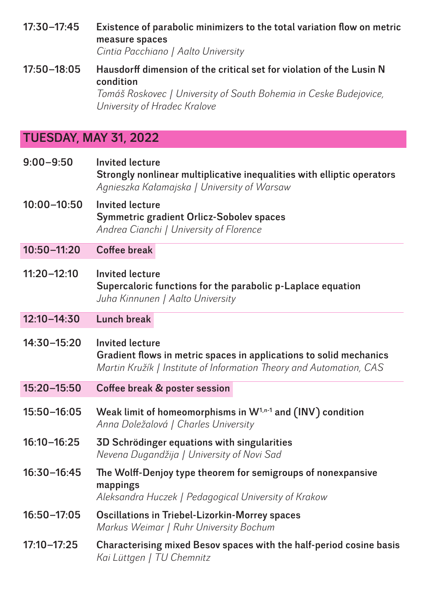**17:30–17:45 Existence of parabolic minimizers to the total variation flow on metric measure spaces**

*Cintia Pacchiano | Aalto University*

### **17:50–18:05 Hausdorff dimension of the critical set for violation of the Lusin N condition**

**Tomáš Roskovec | University of South Bohemia in Ceske Budejovice,** *University of Hradec Kralove*

### **TUESDAY, MAY 31, 2022**

| $9:00 - 9:50$   | <b>Invited lecture</b><br>Strongly nonlinear multiplicative inequalities with elliptic operators<br>Agnieszka Kałamajska   University of Warsaw                     |
|-----------------|---------------------------------------------------------------------------------------------------------------------------------------------------------------------|
| $10:00 - 10:50$ | <b>Invited lecture</b><br>Symmetric gradient Orlicz-Sobolev spaces<br>Andrea Cianchi   University of Florence                                                       |
| 10:50-11:20     | <b>Coffee break</b>                                                                                                                                                 |
| $11:20 - 12:10$ | <b>Invited lecture</b><br>Supercaloric functions for the parabolic p-Laplace equation<br>Juha Kinnunen   Aalto University                                           |
| 12:10-14:30     | <b>Lunch break</b>                                                                                                                                                  |
| 14:30-15:20     | <b>Invited lecture</b><br>Gradient flows in metric spaces in applications to solid mechanics<br>Martin Kružík   Institute of Information Theory and Automation, CAS |
| $15:20 - 15:50$ | Coffee break & poster session                                                                                                                                       |
| 15:50-16:05     | Weak limit of homeomorphisms in $W^{1,n-1}$ and (INV) condition<br>Anna Doležalová   Charles University                                                             |
| $16:10 - 16:25$ | 3D Schrödinger equations with singularities<br>Nevena Dugandžija   University of Novi Sad                                                                           |
| $16:30 - 16:45$ | The Wolff-Denjoy type theorem for semigroups of nonexpansive<br>mappings<br>Aleksandra Huczek   Pedagogical University of Krakow                                    |
| 16:50-17:05     | <b>Oscillations in Triebel-Lizorkin-Morrey spaces</b><br>Markus Weimar   Ruhr University Bochum                                                                     |
| $17:10 - 17:25$ | Characterising mixed Besov spaces with the half-period cosine basis<br>Kai Lüttgen   TU Chemnitz                                                                    |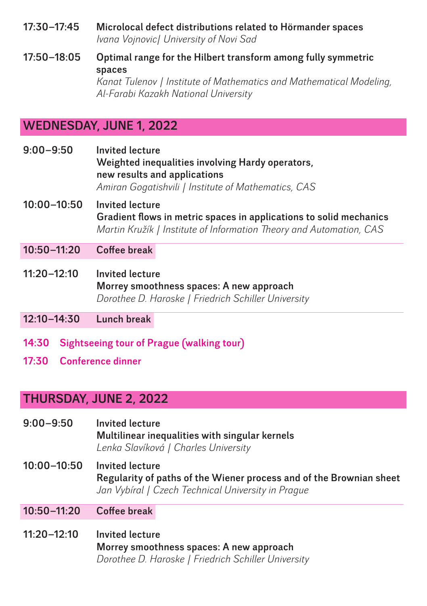**17:30–17:45 Microlocal defect distributions related to Hörmander spaces** *Ivana Vojnovic| University of Novi Sad*

**17:50–18:05 Optimal range for the Hilbert transform among fully symmetric spaces**

*Kanat Tulenov | Institute of Mathematics and Mathematical Modeling, Al-Farabi Kazakh National University*

### **WEDNESDAY, JUNE 1, 2022**

- **9:00–9:50 Invited lecture Weighted inequalities involving Hardy operators, new results and applications** *Amiran Gogatishvili | Institute of Mathematics, CAS*
- **10:00–10:50 Invited lecture Gradient flows in metric spaces in applications to solid mechanics** *Martin Kružík | Institute of Information Theory and Automation, CAS*
- **10:50–11:20 Coffee break**
- **11:20–12:10 Invited lecture Morrey smoothness spaces: A new approach** *Dorothee D. Haroske | Friedrich Schiller University*
- **12:10–14:30 Lunch break**
- **14:30 Sightseeing tour of Prague (walking tour)**
- **17:30 Conference dinner**

#### **THURSDAY, JUNE 2, 2022**

**9:00–9:50 Invited lecture Multilinear inequalities with singular kernels** *Lenka Slavíková | Charles University*

**10:00–10:50 Invited lecture Regularity of paths of the Wiener process and of the Brownian sheet** *Jan Vybíral | Czech Technical University in Prague*

#### **10:50–11:20 Coffee break**

**11:20–12:10 Invited lecture Morrey smoothness spaces: A new approach** *Dorothee D. Haroske | Friedrich Schiller University*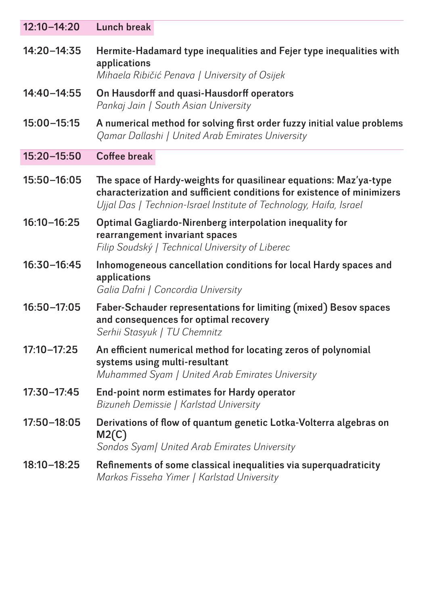| 12:10-14:20     | <b>Lunch break</b>                                                                                                                                                                                                |
|-----------------|-------------------------------------------------------------------------------------------------------------------------------------------------------------------------------------------------------------------|
| 14:20-14:35     | Hermite-Hadamard type inequalities and Fejer type inequalities with<br>applications<br>Mihaela Ribičić Penava   University of Osijek                                                                              |
| 14:40-14:55     | On Hausdorff and quasi-Hausdorff operators<br>Pankaj Jain   South Asian University                                                                                                                                |
| 15:00-15:15     | A numerical method for solving first order fuzzy initial value problems<br>Qamar Dallashi   United Arab Emirates University                                                                                       |
| $15:20 - 15:50$ | <b>Coffee break</b>                                                                                                                                                                                               |
| 15:50-16:05     | The space of Hardy-weights for quasilinear equations: Maz'ya-type<br>characterization and sufficient conditions for existence of minimizers<br>Ujjal Das   Technion-Israel Institute of Technology, Haifa, Israel |
| $16:10 - 16:25$ | Optimal Gagliardo-Nirenberg interpolation inequality for<br>rearrangement invariant spaces<br>Filip Soudský   Technical University of Liberec                                                                     |
| 16:30-16:45     | Inhomogeneous cancellation conditions for local Hardy spaces and<br>applications<br>Galia Dafni   Concordia University                                                                                            |
| $16:50 - 17:05$ | Faber-Schauder representations for limiting (mixed) Besov spaces<br>and consequences for optimal recovery<br>Serhii Stasyuk   TU Chemnitz                                                                         |
| $17:10 - 17:25$ | An efficient numerical method for locating zeros of polynomial<br>systems using multi-resultant<br>Muhammed Syam   United Arab Emirates University                                                                |
| $17:30 - 17:45$ | End-point norm estimates for Hardy operator<br>Bizuneh Demissie   Karlstad University                                                                                                                             |
| 17:50-18:05     | Derivations of flow of quantum genetic Lotka-Volterra algebras on<br>M2(C)<br>Sondos Syam/ United Arab Emirates University                                                                                        |
| 18:10-18:25     | Refinements of some classical inequalities via superquadraticity<br>Markos Fisseha Yimer   Karlstad University                                                                                                    |